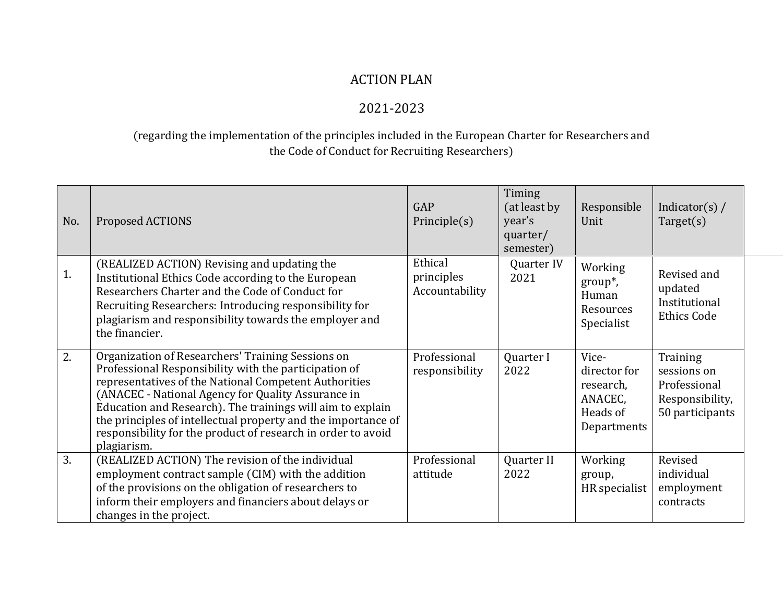## ACTION PLAN

## 2021-2023

## (regarding the implementation of the principles included in the European Charter for Researchers and the Code of Conduct for Recruiting Researchers)

| No. | Proposed ACTIONS                                                                                                                                                                                                                                                                                                                                                                                                                        | GAP<br>Principle(s)                     | Timing<br>(at least by<br>year's<br>quarter/<br>semester) | Responsible<br>Unit                                                      | Indicator(s) $/$<br>Target(s)                                                 |
|-----|-----------------------------------------------------------------------------------------------------------------------------------------------------------------------------------------------------------------------------------------------------------------------------------------------------------------------------------------------------------------------------------------------------------------------------------------|-----------------------------------------|-----------------------------------------------------------|--------------------------------------------------------------------------|-------------------------------------------------------------------------------|
| 1.  | (REALIZED ACTION) Revising and updating the<br>Institutional Ethics Code according to the European<br>Researchers Charter and the Code of Conduct for<br>Recruiting Researchers: Introducing responsibility for<br>plagiarism and responsibility towards the employer and<br>the financier.                                                                                                                                             | Ethical<br>principles<br>Accountability | Quarter IV<br>2021                                        | Working<br>$group^*$ ,<br>Human<br>Resources<br>Specialist               | Revised and<br>updated<br>Institutional<br><b>Ethics Code</b>                 |
| 2.  | Organization of Researchers' Training Sessions on<br>Professional Responsibility with the participation of<br>representatives of the National Competent Authorities<br>(ANACEC - National Agency for Quality Assurance in<br>Education and Research). The trainings will aim to explain<br>the principles of intellectual property and the importance of<br>responsibility for the product of research in order to avoid<br>plagiarism. | Professional<br>responsibility          | Quarter I<br>2022                                         | Vice-<br>director for<br>research,<br>ANACEC,<br>Heads of<br>Departments | Training<br>sessions on<br>Professional<br>Responsibility,<br>50 participants |
| 3.  | (REALIZED ACTION) The revision of the individual<br>employment contract sample (CIM) with the addition<br>of the provisions on the obligation of researchers to<br>inform their employers and financiers about delays or<br>changes in the project.                                                                                                                                                                                     | Professional<br>attitude                | Quarter II<br>2022                                        | Working<br>group,<br>HR specialist                                       | Revised<br>individual<br>employment<br>contracts                              |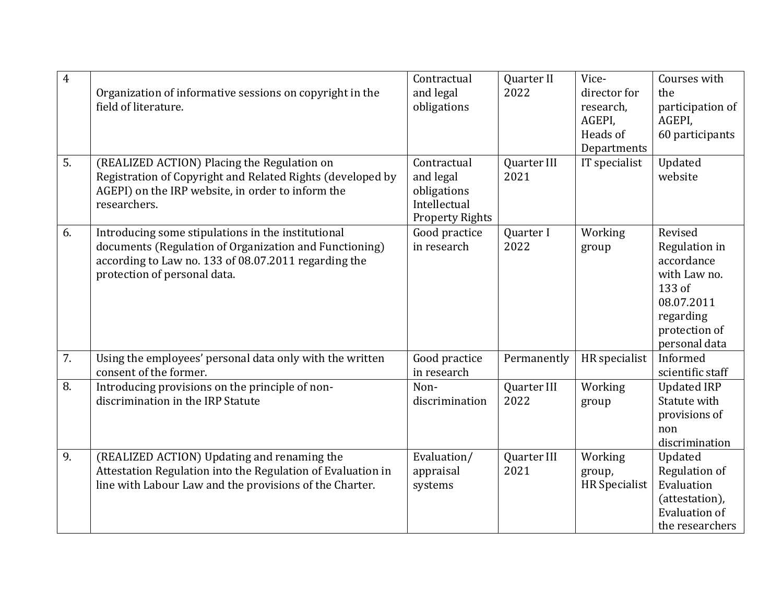| $\overline{4}$ | Organization of informative sessions on copyright in the<br>field of literature.                                                                                                                     | Contractual<br>and legal<br>obligations                                           | Quarter II<br>2022  | Vice-<br>director for<br>research,<br>AGEPI,<br>Heads of<br>Departments | Courses with<br>the<br>participation of<br>AGEPI,<br>60 participants                                                          |
|----------------|------------------------------------------------------------------------------------------------------------------------------------------------------------------------------------------------------|-----------------------------------------------------------------------------------|---------------------|-------------------------------------------------------------------------|-------------------------------------------------------------------------------------------------------------------------------|
| 5.             | (REALIZED ACTION) Placing the Regulation on<br>Registration of Copyright and Related Rights (developed by<br>AGEPI) on the IRP website, in order to inform the<br>researchers.                       | Contractual<br>and legal<br>obligations<br>Intellectual<br><b>Property Rights</b> | Quarter III<br>2021 | IT specialist                                                           | Updated<br>website                                                                                                            |
| 6.             | Introducing some stipulations in the institutional<br>documents (Regulation of Organization and Functioning)<br>according to Law no. 133 of 08.07.2011 regarding the<br>protection of personal data. | Good practice<br>in research                                                      | Quarter I<br>2022   | Working<br>group                                                        | Revised<br>Regulation in<br>accordance<br>with Law no.<br>133 of<br>08.07.2011<br>regarding<br>protection of<br>personal data |
| 7.             | Using the employees' personal data only with the written<br>consent of the former.                                                                                                                   | Good practice<br>in research                                                      | Permanently         | HR specialist                                                           | Informed<br>scientific staff                                                                                                  |
| 8.             | Introducing provisions on the principle of non-<br>discrimination in the IRP Statute                                                                                                                 | Non-<br>discrimination                                                            | Quarter III<br>2022 | Working<br>group                                                        | <b>Updated IRP</b><br>Statute with<br>provisions of<br>non<br>discrimination                                                  |
| 9.             | (REALIZED ACTION) Updating and renaming the<br>Attestation Regulation into the Regulation of Evaluation in<br>line with Labour Law and the provisions of the Charter.                                | Evaluation/<br>appraisal<br>systems                                               | Quarter III<br>2021 | Working<br>group,<br><b>HR</b> Specialist                               | Updated<br>Regulation of<br>Evaluation<br>(attestation),<br><b>Evaluation of</b><br>the researchers                           |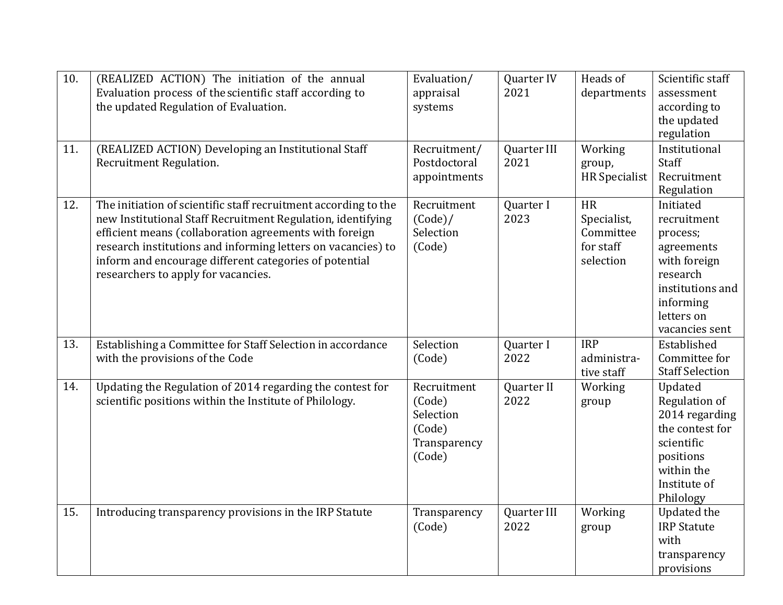| 10. | (REALIZED ACTION) The initiation of the annual<br>Evaluation process of the scientific staff according to<br>the updated Regulation of Evaluation.                                                                                                                                                                                                        | Evaluation/<br>appraisal<br>systems                                    | Quarter IV<br>2021  | Heads of<br>departments                                         | Scientific staff<br>assessment<br>according to<br>the updated<br>regulation                                                                     |
|-----|-----------------------------------------------------------------------------------------------------------------------------------------------------------------------------------------------------------------------------------------------------------------------------------------------------------------------------------------------------------|------------------------------------------------------------------------|---------------------|-----------------------------------------------------------------|-------------------------------------------------------------------------------------------------------------------------------------------------|
| 11. | (REALIZED ACTION) Developing an Institutional Staff<br>Recruitment Regulation.                                                                                                                                                                                                                                                                            | Recruitment/<br>Postdoctoral<br>appointments                           | Quarter III<br>2021 | Working<br>group,<br><b>HR</b> Specialist                       | Institutional<br>Staff<br>Recruitment<br>Regulation                                                                                             |
| 12. | The initiation of scientific staff recruitment according to the<br>new Institutional Staff Recruitment Regulation, identifying<br>efficient means (collaboration agreements with foreign<br>research institutions and informing letters on vacancies) to<br>inform and encourage different categories of potential<br>researchers to apply for vacancies. | Recruitment<br>(Code)/<br>Selection<br>(Code)                          | Quarter I<br>2023   | <b>HR</b><br>Specialist,<br>Committee<br>for staff<br>selection | Initiated<br>recruitment<br>process;<br>agreements<br>with foreign<br>research<br>institutions and<br>informing<br>letters on<br>vacancies sent |
| 13. | Establishing a Committee for Staff Selection in accordance<br>with the provisions of the Code                                                                                                                                                                                                                                                             | Selection<br>(Code)                                                    | Quarter I<br>2022   | <b>IRP</b><br>administra-<br>tive staff                         | Established<br>Committee for<br><b>Staff Selection</b>                                                                                          |
| 14. | Updating the Regulation of 2014 regarding the contest for<br>scientific positions within the Institute of Philology.                                                                                                                                                                                                                                      | Recruitment<br>(Code)<br>Selection<br>(Code)<br>Transparency<br>(Code) | Quarter II<br>2022  | Working<br>group                                                | Updated<br>Regulation of<br>2014 regarding<br>the contest for<br>scientific<br>positions<br>within the<br>Institute of<br>Philology             |
| 15. | Introducing transparency provisions in the IRP Statute                                                                                                                                                                                                                                                                                                    | Transparency<br>(Code)                                                 | Quarter III<br>2022 | Working<br>group                                                | <b>Updated the</b><br><b>IRP Statute</b><br>with<br>transparency<br>provisions                                                                  |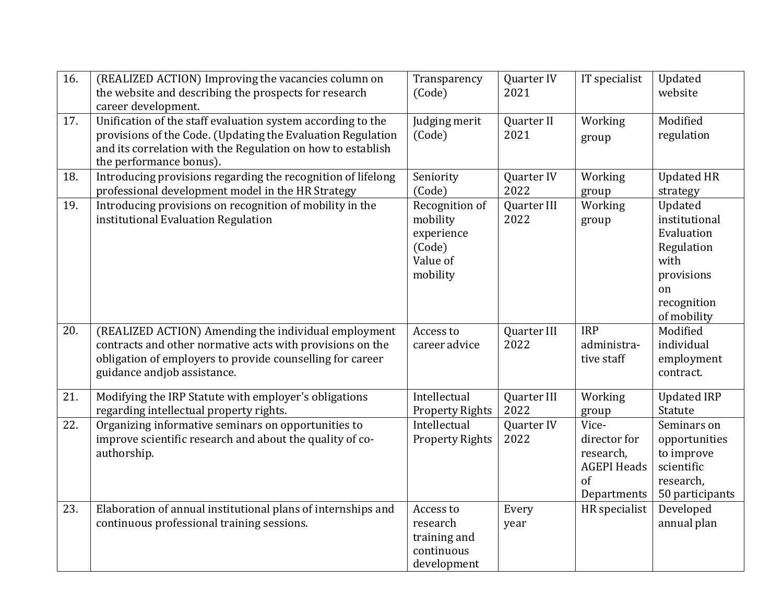| 16. | (REALIZED ACTION) Improving the vacancies column on<br>the website and describing the prospects for research<br>career development.                                                                                  | Transparency<br>(Code)                                                     | Quarter IV<br>2021  | IT specialist                                                                 | Updated<br>website                                                                                             |
|-----|----------------------------------------------------------------------------------------------------------------------------------------------------------------------------------------------------------------------|----------------------------------------------------------------------------|---------------------|-------------------------------------------------------------------------------|----------------------------------------------------------------------------------------------------------------|
| 17. | Unification of the staff evaluation system according to the<br>provisions of the Code. (Updating the Evaluation Regulation<br>and its correlation with the Regulation on how to establish<br>the performance bonus). | Judging merit<br>(Code)                                                    | Quarter II<br>2021  | Working<br>group                                                              | Modified<br>regulation                                                                                         |
| 18. | Introducing provisions regarding the recognition of lifelong<br>professional development model in the HR Strategy                                                                                                    | Seniority<br>(Code)                                                        | Quarter IV<br>2022  | Working<br>group                                                              | <b>Updated HR</b><br>strategy                                                                                  |
| 19. | Introducing provisions on recognition of mobility in the<br>institutional Evaluation Regulation                                                                                                                      | Recognition of<br>mobility<br>experience<br>(Code)<br>Value of<br>mobility | Quarter III<br>2022 | Working<br>group                                                              | Updated<br>institutional<br>Evaluation<br>Regulation<br>with<br>provisions<br>on<br>recognition<br>of mobility |
| 20. | (REALIZED ACTION) Amending the individual employment<br>contracts and other normative acts with provisions on the<br>obligation of employers to provide counselling for career<br>guidance andjob assistance.        | Access to<br>career advice                                                 | Quarter III<br>2022 | <b>IRP</b><br>administra-<br>tive staff                                       | Modified<br>individual<br>employment<br>contract.                                                              |
| 21. | Modifying the IRP Statute with employer's obligations<br>regarding intellectual property rights.                                                                                                                     | Intellectual<br><b>Property Rights</b>                                     | Quarter III<br>2022 | Working<br>group                                                              | <b>Updated IRP</b><br>Statute                                                                                  |
| 22. | Organizing informative seminars on opportunities to<br>improve scientific research and about the quality of co-<br>authorship.                                                                                       | Intellectual<br><b>Property Rights</b>                                     | Quarter IV<br>2022  | Vice-<br>director for<br>research,<br><b>AGEPI Heads</b><br>of<br>Departments | Seminars on<br>opportunities<br>to improve<br>scientific<br>research,<br>50 participants                       |
| 23. | Elaboration of annual institutional plans of internships and<br>continuous professional training sessions.                                                                                                           | Access to<br>research<br>training and<br>continuous<br>development         | Every<br>year       | HR specialist                                                                 | Developed<br>annual plan                                                                                       |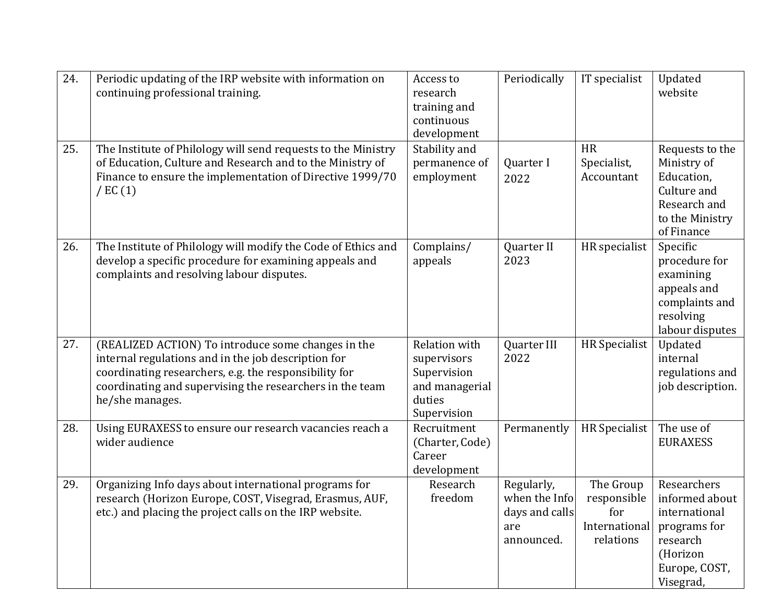| 24. | Periodic updating of the IRP website with information on<br>continuing professional training.                                                                                                                                                     | Access to<br>research<br>training and<br>continuous<br>development                            | Periodically                                                       | IT specialist                                                 | Updated<br>website                                                                                                   |
|-----|---------------------------------------------------------------------------------------------------------------------------------------------------------------------------------------------------------------------------------------------------|-----------------------------------------------------------------------------------------------|--------------------------------------------------------------------|---------------------------------------------------------------|----------------------------------------------------------------------------------------------------------------------|
| 25. | The Institute of Philology will send requests to the Ministry<br>of Education, Culture and Research and to the Ministry of<br>Finance to ensure the implementation of Directive 1999/70<br>$/$ EC $(1)$                                           | Stability and<br>permanence of<br>employment                                                  | Quarter I<br>2022                                                  | <b>HR</b><br>Specialist,<br>Accountant                        | Requests to the<br>Ministry of<br>Education,<br>Culture and<br>Research and<br>to the Ministry<br>of Finance         |
| 26. | The Institute of Philology will modify the Code of Ethics and<br>develop a specific procedure for examining appeals and<br>complaints and resolving labour disputes.                                                                              | Complains/<br>appeals                                                                         | Quarter II<br>2023                                                 | HR specialist                                                 | Specific<br>procedure for<br>examining<br>appeals and<br>complaints and<br>resolving<br>labour disputes              |
| 27. | (REALIZED ACTION) To introduce some changes in the<br>internal regulations and in the job description for<br>coordinating researchers, e.g. the responsibility for<br>coordinating and supervising the researchers in the team<br>he/she manages. | <b>Relation with</b><br>supervisors<br>Supervision<br>and managerial<br>duties<br>Supervision | Quarter III<br>2022                                                | <b>HR</b> Specialist                                          | Updated<br>internal<br>regulations and<br>job description.                                                           |
| 28. | Using EURAXESS to ensure our research vacancies reach a<br>wider audience                                                                                                                                                                         | Recruitment<br>(Charter, Code)<br>Career<br>development                                       | Permanently                                                        | <b>HR</b> Specialist                                          | The use of<br><b>EURAXESS</b>                                                                                        |
| 29. | Organizing Info days about international programs for<br>research (Horizon Europe, COST, Visegrad, Erasmus, AUF,<br>etc.) and placing the project calls on the IRP website.                                                                       | Research<br>freedom                                                                           | Regularly,<br>when the Info<br>days and calls<br>are<br>announced. | The Group<br>responsible<br>for<br>International<br>relations | Researchers<br>informed about<br>international<br>programs for<br>research<br>(Horizon<br>Europe, COST,<br>Visegrad, |